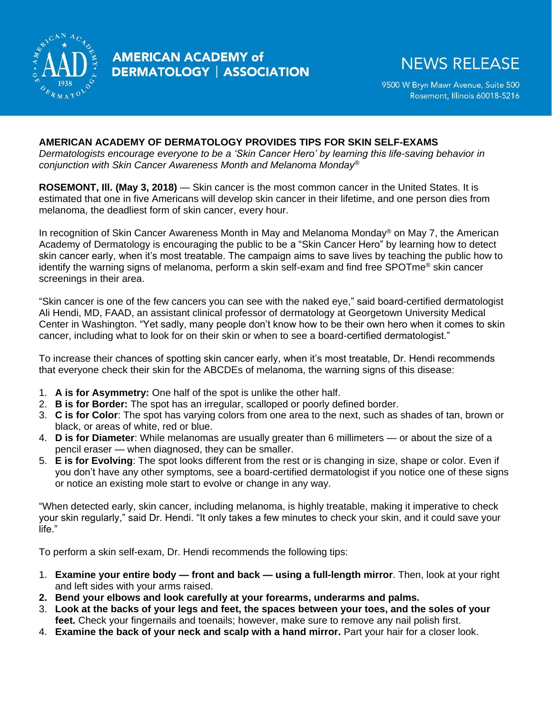

## **AMERICAN ACADEMY of DERMATOLOGY | ASSOCIATION**

## **NEWS RELEASE**

9500 W Bryn Mawr Avenue, Suite 500 Rosemont, Illinois 60018-5216

## **AMERICAN ACADEMY OF DERMATOLOGY PROVIDES TIPS FOR SKIN SELF-EXAMS**

*Dermatologists encourage everyone to be a 'Skin Cancer Hero' by learning this life-saving behavior in conjunction with Skin Cancer Awareness Month and Melanoma Monday®*

**ROSEMONT, Ill. (May 3, 2018)** — Skin cancer is the most common cancer in the United States. It is estimated that one in five Americans will develop skin cancer in their lifetime, and one person dies from melanoma, the deadliest form of skin cancer, every hour.

In recognition of Skin Cancer Awareness Month in May and Melanoma Monday<sup>®</sup> on May 7, the American Academy of Dermatology is encouraging the public to be a "Skin Cancer Hero" by learning how to detect skin cancer early, when it's most treatable. The campaign aims to save lives by teaching the public how to identify the warning signs of melanoma, perform a skin self-exam and find free SPOTme*®* skin cancer screenings in their area.

"Skin cancer is one of the few cancers you can see with the naked eye," said board-certified dermatologist Ali Hendi, MD, FAAD, an assistant clinical professor of dermatology at Georgetown University Medical Center in Washington. "Yet sadly, many people don't know how to be their own hero when it comes to skin cancer, including what to look for on their skin or when to see a board-certified dermatologist."

To increase their chances of spotting skin cancer early, when it's most treatable, Dr. Hendi recommends that everyone check their skin for the ABCDEs of melanoma, the warning signs of this disease:

- 1. **A is for Asymmetry:** One half of the spot is unlike the other half.
- 2. **B is for Border:** The spot has an irregular, scalloped or poorly defined border.
- 3. **C is for Color**: The spot has varying colors from one area to the next, such as shades of tan, brown or black, or areas of white, red or blue.
- 4. **D is for Diameter**: While melanomas are usually greater than 6 millimeters or about the size of a pencil eraser — when diagnosed, they can be smaller.
- 5. **E is for Evolving**: The spot looks different from the rest or is changing in size, shape or color. Even if you don't have any other symptoms, see a board-certified dermatologist if you notice one of these signs or notice an existing mole start to evolve or change in any way.

"When detected early, skin cancer, including melanoma, is highly treatable, making it imperative to check your skin regularly," said Dr. Hendi. "It only takes a few minutes to check your skin, and it could save your life."

To perform a skin self-exam, Dr. Hendi recommends the following tips:

- 1. **Examine your entire body — front and back — using a full-length mirror**. Then, look at your right and left sides with your arms raised.
- **2. Bend your elbows and look carefully at your forearms, underarms and palms.**
- 3. **Look at the backs of your legs and feet, the spaces between your toes, and the soles of your feet.** Check your fingernails and toenails; however, make sure to remove any nail polish first.
- 4. **Examine the back of your neck and scalp with a hand mirror.** Part your hair for a closer look.